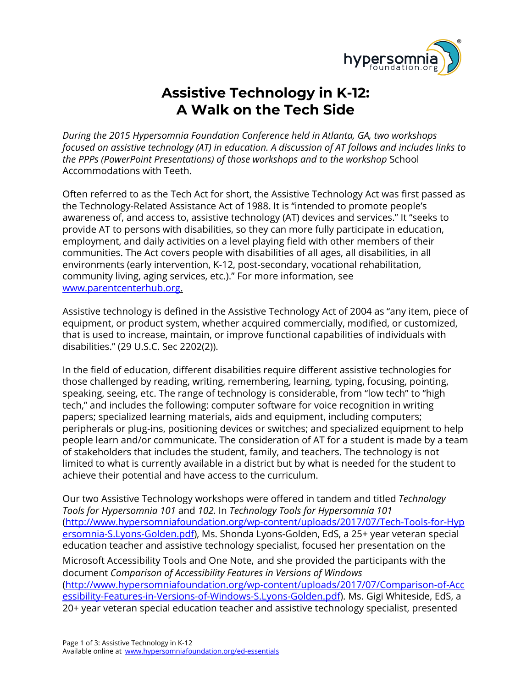

## **Assistive Technology in K-12: A Walk on the Tech Side**

*During the 2015 Hypersomnia Foundation Conference held in Atlanta, GA, two workshops focused on assistive technology (AT) in education. A discussion of AT follows and includes links to the PPPs (PowerPoint Presentations) of those workshops and to the workshop* School Accommodations with Teeth.

Often referred to as the Tech Act for short, the Assistive Technology Act was first passed as the Technology-Related Assistance Act of 1988. It is "intended to promote people's awareness of, and access to, assistive technology (AT) devices and services." It "seeks to provide AT to persons with disabilities, so they can more fully participate in education, employment, and daily activities on a level playing field with other members of their communities. The Act covers people with disabilities of all ages, all disabilities, in all environments (early intervention, K-12, post-secondary, vocational rehabilitation, community living, aging services, etc.)." For more information, see [www.parentcenterhub.org.](http://www.parentcenterhub.org/)

Assistive technology is defined in the Assistive Technology Act of 2004 as "any item, piece of equipment, or product system, whether acquired commercially, modified, or customized, that is used to increase, maintain, or improve functional capabilities of individuals with disabilities." (29 U.S.C. Sec 2202(2)).

In the field of education, different disabilities require different assistive technologies for those challenged by reading, writing, remembering, learning, typing, focusing, pointing, speaking, seeing, etc. The range of technology is considerable, from "low tech" to "high tech," and includes the following: computer software for voice recognition in writing papers; specialized learning materials, aids and equipment, including computers; peripherals or plug-ins, positioning devices or switches; and specialized equipment to help people learn and/or communicate. The consideration of AT for a student is made by a team of stakeholders that includes the student, family, and teachers. The technology is not limited to what is currently available in a district but by what is needed for the student to achieve their potential and have access to the curriculum.

Our two Assistive Technology workshops were offered in tandem and titled *Technology Tools for Hypersomnia 101* and *102.* In *Technology Tools for Hypersomnia 101* [\(http://www.hypersomniafoundation.org/wp-content/uploads/2017/07/Tech-Tools-for-Hyp](http://www.hypersomniafoundation.org/wp-content/uploads/2017/07/Tech-Tools-for-Hypersomnia-S.Lyons-Golden.pdf) [ersomnia-S.Lyons-Golden.pdf\)](http://www.hypersomniafoundation.org/wp-content/uploads/2017/07/Tech-Tools-for-Hypersomnia-S.Lyons-Golden.pdf), Ms. Shonda Lyons-Golden, EdS, a 25+ year veteran special education teacher and assistive technology specialist, focused her presentation on the Microsoft Accessibility Tools and One Note, and she provided the participants with the document *Comparison of Accessibility Features in Versions of Windows* [\(http://www.hypersomniafoundation.org/wp-content/uploads/2017/07/Comparison-of-Acc](http://www.hypersomniafoundation.org/wp-content/uploads/2017/07/Comparison-of-Accessibility-Features-in-Versions-of-Windows-S.Lyons-Golden.pdf) [essibility-Features-in-Versions-of-Windows-S.Lyons-Golden.pdf\)](http://www.hypersomniafoundation.org/wp-content/uploads/2017/07/Comparison-of-Accessibility-Features-in-Versions-of-Windows-S.Lyons-Golden.pdf). Ms. Gigi Whiteside, EdS, a 20+ year veteran special education teacher and assistive technology specialist, presented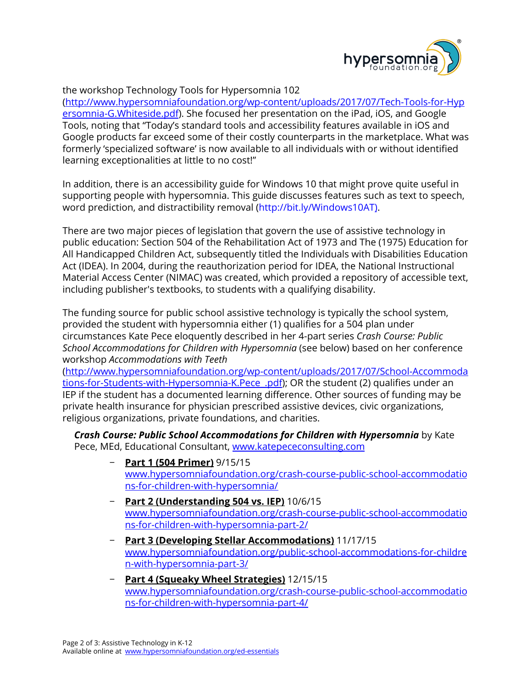

## the workshop Technology Tools for Hypersomnia 102

[\(http://www.hypersomniafoundation.org/wp-content/uploads/2017/07/Tech-Tools-for-Hyp](http://www.hypersomniafoundation.org/wp-content/uploads/2017/07/Tech-Tools-for-Hypersomnia-G.Whiteside.pdf) [ersomnia-G.Whiteside.pdf\)](http://www.hypersomniafoundation.org/wp-content/uploads/2017/07/Tech-Tools-for-Hypersomnia-G.Whiteside.pdf). She focused her presentation on the iPad, iOS, and Google Tools, noting that "Today's standard tools and accessibility features available in iOS and Google products far exceed some of their costly counterparts in the marketplace. What was formerly 'specialized software' is now available to all individuals with or without identified learning exceptionalities at little to no cost!"

In addition, there is an accessibility guide for Windows 10 that might prove quite useful in supporting people with hypersomnia. This guide discusses features such as text to speech, word prediction, and distractibility removal ([http://bit.ly/Windows10AT\)](http://bit.ly/Windows10AT)).

There are two major pieces of legislation that govern the use of assistive technology in public education: Section 504 of the Rehabilitation Act of 1973 and The (1975) Education for All Handicapped Children Act, subsequently titled the Individuals with Disabilities Education Act (IDEA). In 2004, during the reauthorization period for IDEA, the National Instructional Material Access Center (NIMAC) was created, which provided a repository of accessible text, including publisher's textbooks, to students with a qualifying disability.

The funding source for public school assistive technology is typically the school system, provided the student with hypersomnia either (1) qualifies for a 504 plan under circumstances Kate Pece eloquently described in her 4-part series *Crash Course: Public School Accommodations for Children with Hypersomnia* (see below) based on her conference workshop *Accommodations with Teeth*

[\(http://www.hypersomniafoundation.org/wp-content/uploads/2017/07/School-Accommoda](http://www.hypersomniafoundation.org/wp-content/uploads/2017/07/School-Accommodations-for-Students-with-Hypersomnia-K.Pece_.pdf) tions-for-Students-with-Hypersomnia-K.Pece..pdf); OR the student (2) qualifies under an IEP if the student has a documented learning difference. Other sources of funding may be private health insurance for physician prescribed assistive devices, civic organizations, religious organizations, private foundations, and charities.

*Crash Course: Public School Accommodations for Children with Hypersomnia* by Kate Pece, MEd, Educational Consultant, [www.katepececonsulting.com](http://www.katepececonsulting.com/)

- − **Part 1 (504 Primer)** 9/15/15 [www.hypersomniafoundation.org/crash-course-public-school-accommodatio](http://www.hypersomniafoundation.org/crash-course-public-school-accommodations-for-children-with-hypersomnia/) [ns-for-children-with-hypersomnia/](http://www.hypersomniafoundation.org/crash-course-public-school-accommodations-for-children-with-hypersomnia/)
- − **Part 2 (Understanding 504 vs. IEP)** 10/6/15 [www.hypersomniafoundation.org/crash-course-public-school-accommodatio](http://www.hypersomniafoundation.org/crash-course-public-school-accommodations-for-children-with-hypersomnia-part-2/) [ns-for-children-with-hypersomnia-part-2/](http://www.hypersomniafoundation.org/crash-course-public-school-accommodations-for-children-with-hypersomnia-part-2/)
- − **Part 3 (Developing Stellar Accommodations)** 11/17/15 [www.hypersomniafoundation.org/public-school-accommodations-for-childre](http://www.hypersomniafoundation.org/public-school-accommodations-for-children-with-hypersomnia-part-3/) [n-with-hypersomnia-part-3/](http://www.hypersomniafoundation.org/public-school-accommodations-for-children-with-hypersomnia-part-3/)
- − **Part 4 (Squeaky Wheel Strategies)** 12/15/15 [www.hypersomniafoundation.org/crash-course-public-school-accommodatio](http://www.hypersomniafoundation.org/crash-course-public-school-accommodations-for-children-with-hypersomnia-part-4/) [ns-for-children-with-hypersomnia-part-4/](http://www.hypersomniafoundation.org/crash-course-public-school-accommodations-for-children-with-hypersomnia-part-4/)